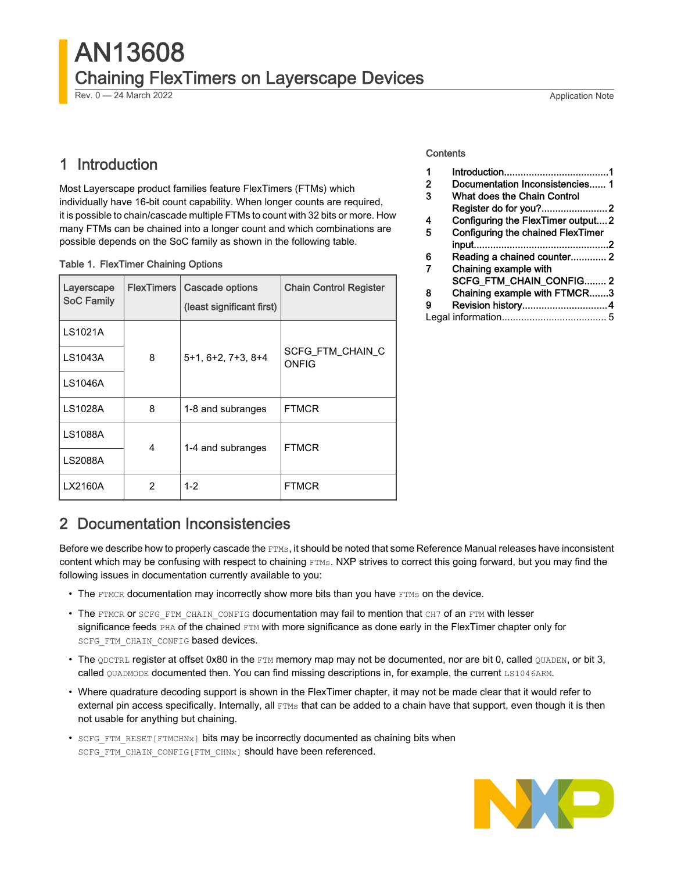## AN13608 Chaining FlexTimers on Layerscape Devices Rev. 0 — 24 March 2022 Application Note

## 1 Introduction

Most Layerscape product families feature FlexTimers (FTMs) which individually have 16-bit count capability. When longer counts are required, it is possible to chain/cascade multiple FTMs to count with 32 bits or more. How many FTMs can be chained into a longer count and which combinations are possible depends on the SoC family as shown in the following table.

| <b>Table 1. FlexTimer Chaining Options</b> |  |
|--------------------------------------------|--|
|--------------------------------------------|--|

| Layerscape<br><b>SoC Family</b> | <b>FlexTimers</b> | Cascade options<br>(least significant first) | <b>Chain Control Register</b>    |
|---------------------------------|-------------------|----------------------------------------------|----------------------------------|
| LS1021A                         |                   |                                              |                                  |
| LS1043A                         | 8                 | $5+1, 6+2, 7+3, 8+4$                         | <b>SCFG FTM CHAIN C</b><br>ONFIG |
| LS1046A                         |                   |                                              |                                  |
| LS1028A                         | 8                 | 1-8 and subranges                            | <b>FTMCR</b>                     |
| <b>LS1088A</b>                  | 4                 | 1-4 and subranges                            | <b>FTMCR</b>                     |
| <b>LS2088A</b>                  |                   |                                              |                                  |
| LX2160A                         | 2                 | $1 - 2$                                      | <b>FTMCR</b>                     |

#### **Contents**

| 1 |                                   |  |
|---|-----------------------------------|--|
| 2 | Documentation Inconsistencies 1   |  |
| 3 | What does the Chain Control       |  |
|   |                                   |  |
| 4 | Configuring the FlexTimer output2 |  |
| 5 | Configuring the chained FlexTimer |  |
|   |                                   |  |
| 6 | Reading a chained counter 2       |  |
| 7 | Chaining example with             |  |
|   | SCFG_FTM_CHAIN_CONFIG2            |  |
| 8 | Chaining example with FTMCR3      |  |
| 9 |                                   |  |
|   |                                   |  |
|   |                                   |  |

## 2 Documentation Inconsistencies

Before we describe how to properly cascade the FTMs, it should be noted that some Reference Manual releases have inconsistent content which may be confusing with respect to chaining FTMs. NXP strives to correct this going forward, but you may find the following issues in documentation currently available to you:

- The FTMCR documentation may incorrectly show more bits than you have FTMs on the device.
- The FTMCR or SCFG\_FTM\_CHAIN\_CONFIG documentation may fail to mention that CH7 of an FTM with lesser significance feeds PHA of the chained FTM with more significance as done early in the FlexTimer chapter only for SCFG FTM CHAIN CONFIG based devices.
- $\bullet$  The  $QDCTRL$  register at offset 0x80 in the  $ETM$  memory map may not be documented, nor are bit 0, called  $QUADEN$ , or bit 3, called QUADMODE documented then. You can find missing descriptions in, for example, the current LS1046ARM.
- Where quadrature decoding support is shown in the FlexTimer chapter, it may not be made clear that it would refer to external pin access specifically. Internally, all FTMs that can be added to a chain have that support, even though it is then not usable for anything but chaining.
- SCFG\_FTM\_RESET [FTMCHNx] bits may be incorrectly documented as chaining bits when SCFG FTM CHAIN CONFIG[FTM CHNx] should have been referenced.

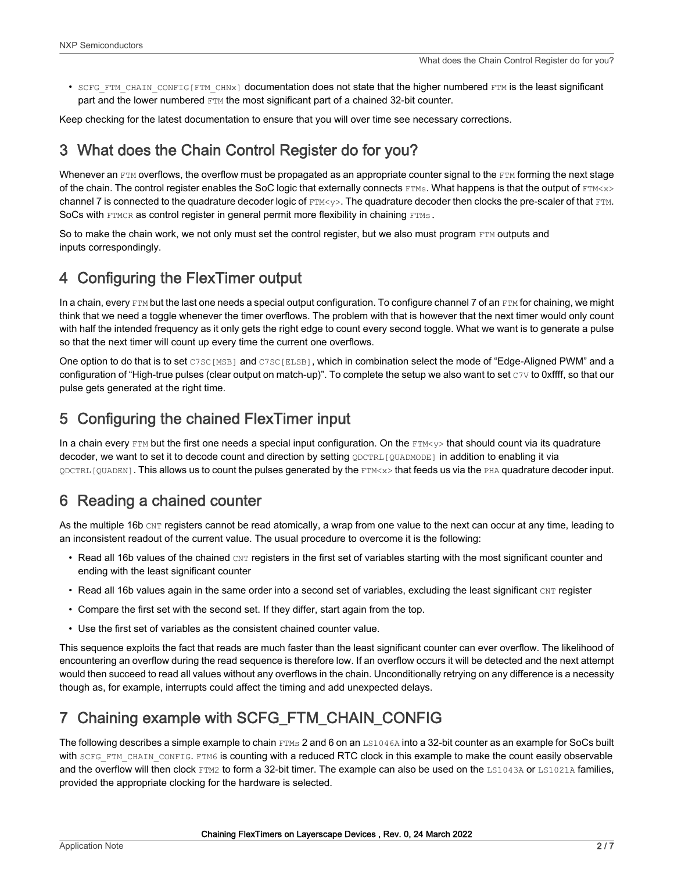<span id="page-1-0"></span>• SCFG FTM CHAIN CONFIG[FTM CHNx] documentation does not state that the higher numbered FTM is the least significant part and the lower numbered  $FTM$  the most significant part of a chained 32-bit counter.

Keep checking for the latest documentation to ensure that you will over time see necessary corrections.

## 3 What does the Chain Control Register do for you?

Whenever an  $FTM$  overflows, the overflow must be propagated as an appropriate counter signal to the  $FTM$  forming the next stage of the chain. The control register enables the SoC logic that externally connects FTMs. What happens is that the output of FTM<x> channel 7 is connected to the quadrature decoder logic of  $ETM < y>Y$ . The quadrature decoder then clocks the pre-scaler of that  $ETM$ . SoCs with FTMCR as control register in general permit more flexibility in chaining FTMs.

So to make the chain work, we not only must set the control register, but we also must program FTM outputs and inputs correspondingly.

## 4 Configuring the FlexTimer output

In a chain, every  $FTM$  but the last one needs a special output configuration. To configure channel 7 of an  $FTM$  for chaining, we might think that we need a toggle whenever the timer overflows. The problem with that is however that the next timer would only count with half the intended frequency as it only gets the right edge to count every second toggle. What we want is to generate a pulse so that the next timer will count up every time the current one overflows.

One option to do that is to set C7SC[MSB] and C7SC[ELSB], which in combination select the mode of "Edge-Aligned PWM" and a configuration of "High-true pulses (clear output on match-up)". To complete the setup we also want to set  $\text{cv}$  to 0xffff, so that our pulse gets generated at the right time.

## 5 Configuring the chained FlexTimer input

In a chain every FTM but the first one needs a special input configuration. On the  $FFM<sub>Y</sub>$  that should count via its quadrature decoder, we want to set it to decode count and direction by setting **QDCTRL[QUADMODE]** in addition to enabling it via  $\Omega$ DCTRL [QUADEN]. This allows us to count the pulses generated by the FTM<x> that feeds us via the PHA quadrature decoder input.

## 6 Reading a chained counter

As the multiple 16b CNT registers cannot be read atomically, a wrap from one value to the next can occur at any time, leading to an inconsistent readout of the current value. The usual procedure to overcome it is the following:

- Read all 16b values of the chained CNT registers in the first set of variables starting with the most significant counter and ending with the least significant counter
- Read all 16b values again in the same order into a second set of variables, excluding the least significant  $\text{CNT register}$
- Compare the first set with the second set. If they differ, start again from the top.
- Use the first set of variables as the consistent chained counter value.

This sequence exploits the fact that reads are much faster than the least significant counter can ever overflow. The likelihood of encountering an overflow during the read sequence is therefore low. If an overflow occurs it will be detected and the next attempt would then succeed to read all values without any overflows in the chain. Unconditionally retrying on any difference is a necessity though as, for example, interrupts could affect the timing and add unexpected delays.

## 7 Chaining example with SCFG\_FTM\_CHAIN\_CONFIG

The following describes a simple example to chain FTMs 2 and 6 on an LS1046A into a 32-bit counter as an example for SoCs built with SCFG\_FTM\_CHAIN\_CONFIG. FTM6 is counting with a reduced RTC clock in this example to make the count easily observable and the overflow will then clock FTM2 to form a 32-bit timer. The example can also be used on the LS1043A or LS1021A families, provided the appropriate clocking for the hardware is selected.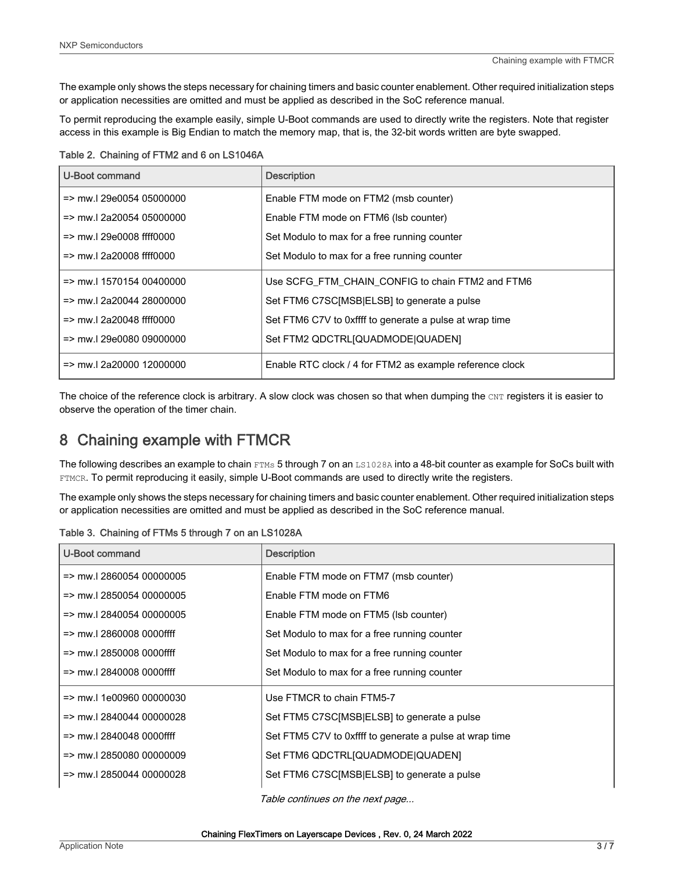<span id="page-2-0"></span>The example only shows the steps necessary for chaining timers and basic counter enablement. Other required initialization steps or application necessities are omitted and must be applied as described in the SoC reference manual.

To permit reproducing the example easily, simple U-Boot commands are used to directly write the registers. Note that register access in this example is Big Endian to match the memory map, that is, the 32-bit words written are byte swapped.

Table 2. Chaining of FTM2 and 6 on LS1046A

| U-Boot command                      | <b>Description</b>                                       |
|-------------------------------------|----------------------------------------------------------|
| $\Rightarrow$ mw. 29e0054 05000000  | Enable FTM mode on FTM2 (msb counter)                    |
| $\Rightarrow$ mw. 2a20054 05000000  | Enable FTM mode on FTM6 (Isb counter)                    |
| $=$ mw.l 29e0008 ffff0000           | Set Modulo to max for a free running counter             |
| $\Rightarrow$ mw.l 2a20008 ffff0000 | Set Modulo to max for a free running counter             |
| $=$ mw.l 1570154 00400000           | Use SCFG FTM CHAIN CONFIG to chain FTM2 and FTM6         |
| $\Rightarrow$ mw. 2a20044 28000000  | Set FTM6 C7SC[MSB ELSB] to generate a pulse              |
| $\Rightarrow$ mw.l 2a20048 ffff0000 | Set FTM6 C7V to 0xffff to generate a pulse at wrap time  |
| $=$ mw.I 29e0080 09000000           | Set FTM2 QDCTRL[QUADMODE]QUADEN]                         |
| $=$ mw.l 2a20000 12000000           | Enable RTC clock / 4 for FTM2 as example reference clock |

The choice of the reference clock is arbitrary. A slow clock was chosen so that when dumping the CNT registers it is easier to observe the operation of the timer chain.

## 8 Chaining example with FTMCR

The following describes an example to chain FTMs 5 through 7 on an LS1028A into a 48-bit counter as example for SoCs built with FTMCR. To permit reproducing it easily, simple U-Boot commands are used to directly write the registers.

The example only shows the steps necessary for chaining timers and basic counter enablement. Other required initialization steps or application necessities are omitted and must be applied as described in the SoC reference manual.

| U-Boot command                      | <b>Description</b>                                      |
|-------------------------------------|---------------------------------------------------------|
| => mw.l 2860054 00000005            | Enable FTM mode on FTM7 (msb counter)                   |
| => mw.l 2850054 00000005            | Enable FTM mode on FTM6                                 |
| $=$ mw.l 2840054 00000005           | Enable FTM mode on FTM5 (Isb counter)                   |
| $\Rightarrow$ mw.I 2860008 0000ffff | Set Modulo to max for a free running counter            |
| => mw.l 2850008 0000ffff            | Set Modulo to max for a free running counter            |
| $=$ mw. 2840008 0000ffff            | Set Modulo to max for a free running counter            |
| l => mw.l 1e00960 00000030          | Use FTMCR to chain FTM5-7                               |
| $=$ mw.l 2840044 00000028           | Set FTM5 C7SC[MSB ELSB] to generate a pulse             |
| $=$ mw.l 2840048 0000ffff           | Set FTM5 C7V to 0xffff to generate a pulse at wrap time |
| $=$ mw. 2850080 00000009            | Set FTM6 QDCTRL[QUADMODE]QUADEN]                        |
| l => mw.l 2850044 00000028          | Set FTM6 C7SC[MSB ELSB] to generate a pulse             |

Table 3. Chaining of FTMs 5 through 7 on an LS1028A

Table continues on the next page...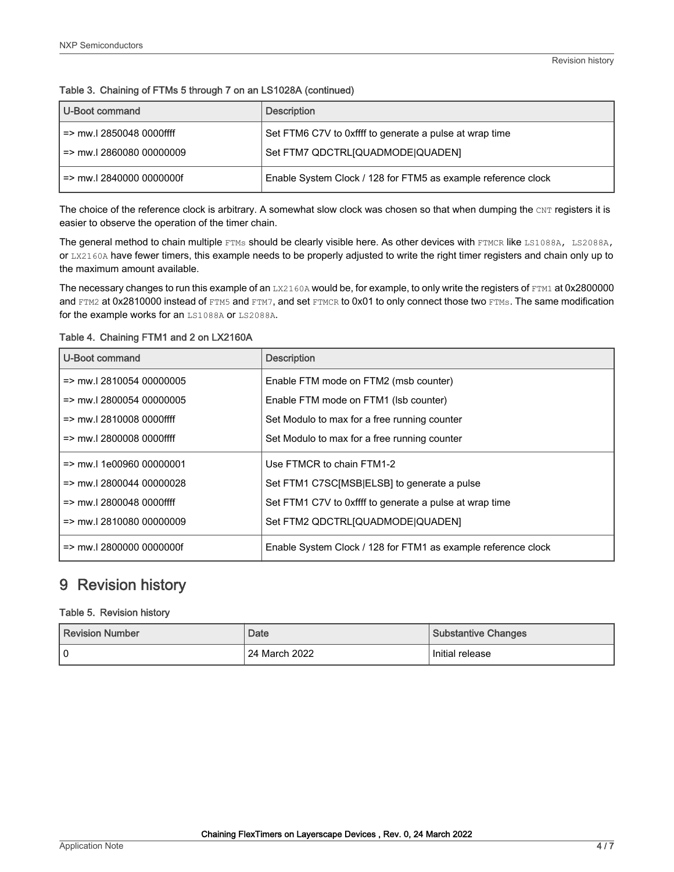<span id="page-3-0"></span>

| U-Boot command                      | <b>Description</b>                                            |
|-------------------------------------|---------------------------------------------------------------|
| $=$ mw.l 2850048 0000ffff           | Set FTM6 C7V to 0xffff to generate a pulse at wrap time       |
| => mw.l 2860080 00000009            | Set FTM7 QDCTRLIQUADMODE QUADENI                              |
| $\Rightarrow$ mw.I 2840000 0000000f | Enable System Clock / 128 for FTM5 as example reference clock |

The choice of the reference clock is arbitrary. A somewhat slow clock was chosen so that when dumping the  $CNT$  registers it is easier to observe the operation of the timer chain.

The general method to chain multiple FTMs should be clearly visible here. As other devices with FTMCR like LS1088A, LS2088A, or LX2160A have fewer timers, this example needs to be properly adjusted to write the right timer registers and chain only up to the maximum amount available.

The necessary changes to run this example of an LX2160A would be, for example, to only write the registers of FTM1 at 0x2800000 and FTM2 at 0x2810000 instead of FTM5 and FTM7, and set FTMCR to 0x01 to only connect those two FTMs. The same modification for the example works for an LS1088A or LS2088A.

| U-Boot command                       | <b>Description</b>                                            |
|--------------------------------------|---------------------------------------------------------------|
| $\Rightarrow$ mw. 2810054 00000005   | Enable FTM mode on FTM2 (msb counter)                         |
| $\Rightarrow$ mw. 2800054 00000005   | Enable FTM mode on FTM1 (Isb counter)                         |
| $\Rightarrow$ mw. 2810008 0000ffff   | Set Modulo to max for a free running counter                  |
| $\Rightarrow$ mw. 2800008 0000ffff   | Set Modulo to max for a free running counter                  |
| $\Rightarrow$ mw.   1e00960 00000001 | Use FTMCR to chain FTM1-2                                     |
| $\Rightarrow$ mw. 2800044 00000028   | Set FTM1 C7SC[MSB ELSB] to generate a pulse                   |
| $\Rightarrow$ mw. 2800048 0000ffff   | Set FTM1 C7V to 0xffff to generate a pulse at wrap time       |
| $\Rightarrow$ mw. 2810080 00000009   | Set FTM2 QDCTRLIQUADMODE QUADENI                              |
| $=$ mw. 2800000 0000000f             | Enable System Clock / 128 for FTM1 as example reference clock |

#### Table 4. Chaining FTM1 and 2 on LX2160A

## 9 Revision history

#### Table 5. Revision history

| Revision Number | Date            | <b>Substantive Changes</b> |
|-----------------|-----------------|----------------------------|
| 0               | ່ 24 March 2022 | Initial release            |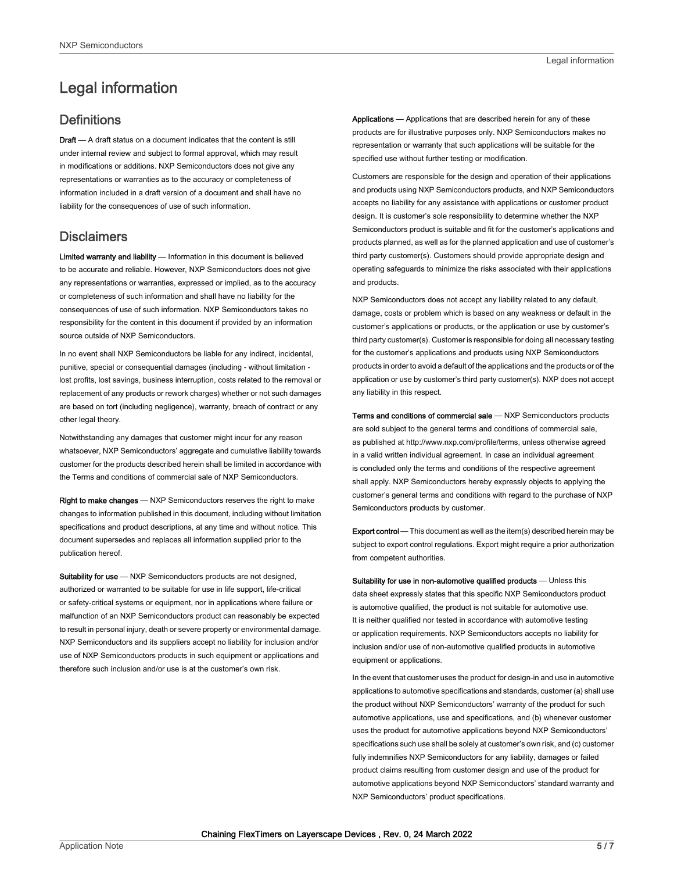## <span id="page-4-0"></span>Legal information

### **Definitions**

Draft - A draft status on a document indicates that the content is still under internal review and subject to formal approval, which may result in modifications or additions. NXP Semiconductors does not give any representations or warranties as to the accuracy or completeness of information included in a draft version of a document and shall have no liability for the consequences of use of such information.

#### **Disclaimers**

Limited warranty and liability - Information in this document is believed to be accurate and reliable. However, NXP Semiconductors does not give any representations or warranties, expressed or implied, as to the accuracy or completeness of such information and shall have no liability for the consequences of use of such information. NXP Semiconductors takes no responsibility for the content in this document if provided by an information source outside of NXP Semiconductors.

In no event shall NXP Semiconductors be liable for any indirect, incidental, punitive, special or consequential damages (including - without limitation lost profits, lost savings, business interruption, costs related to the removal or replacement of any products or rework charges) whether or not such damages are based on tort (including negligence), warranty, breach of contract or any other legal theory.

Notwithstanding any damages that customer might incur for any reason whatsoever, NXP Semiconductors' aggregate and cumulative liability towards customer for the products described herein shall be limited in accordance with the Terms and conditions of commercial sale of NXP Semiconductors.

Right to make changes — NXP Semiconductors reserves the right to make changes to information published in this document, including without limitation specifications and product descriptions, at any time and without notice. This document supersedes and replaces all information supplied prior to the publication hereof.

Suitability for use - NXP Semiconductors products are not designed, authorized or warranted to be suitable for use in life support, life-critical or safety-critical systems or equipment, nor in applications where failure or malfunction of an NXP Semiconductors product can reasonably be expected to result in personal injury, death or severe property or environmental damage. NXP Semiconductors and its suppliers accept no liability for inclusion and/or use of NXP Semiconductors products in such equipment or applications and therefore such inclusion and/or use is at the customer's own risk.

Applications — Applications that are described herein for any of these products are for illustrative purposes only. NXP Semiconductors makes no representation or warranty that such applications will be suitable for the specified use without further testing or modification.

Customers are responsible for the design and operation of their applications and products using NXP Semiconductors products, and NXP Semiconductors accepts no liability for any assistance with applications or customer product design. It is customer's sole responsibility to determine whether the NXP Semiconductors product is suitable and fit for the customer's applications and products planned, as well as for the planned application and use of customer's third party customer(s). Customers should provide appropriate design and operating safeguards to minimize the risks associated with their applications and products.

NXP Semiconductors does not accept any liability related to any default, damage, costs or problem which is based on any weakness or default in the customer's applications or products, or the application or use by customer's third party customer(s). Customer is responsible for doing all necessary testing for the customer's applications and products using NXP Semiconductors products in order to avoid a default of the applications and the products or of the application or use by customer's third party customer(s). NXP does not accept any liability in this respect.

Terms and conditions of commercial sale — NXP Semiconductors products are sold subject to the general terms and conditions of commercial sale, as published at http://www.nxp.com/profile/terms, unless otherwise agreed in a valid written individual agreement. In case an individual agreement is concluded only the terms and conditions of the respective agreement shall apply. NXP Semiconductors hereby expressly objects to applying the customer's general terms and conditions with regard to the purchase of NXP Semiconductors products by customer.

Export control - This document as well as the item(s) described herein may be subject to export control regulations. Export might require a prior authorization from competent authorities.

Suitability for use in non-automotive qualified products - Unless this data sheet expressly states that this specific NXP Semiconductors product is automotive qualified, the product is not suitable for automotive use. It is neither qualified nor tested in accordance with automotive testing or application requirements. NXP Semiconductors accepts no liability for inclusion and/or use of non-automotive qualified products in automotive equipment or applications.

In the event that customer uses the product for design-in and use in automotive applications to automotive specifications and standards, customer (a) shall use the product without NXP Semiconductors' warranty of the product for such automotive applications, use and specifications, and (b) whenever customer uses the product for automotive applications beyond NXP Semiconductors' specifications such use shall be solely at customer's own risk, and (c) customer fully indemnifies NXP Semiconductors for any liability, damages or failed product claims resulting from customer design and use of the product for automotive applications beyond NXP Semiconductors' standard warranty and NXP Semiconductors' product specifications.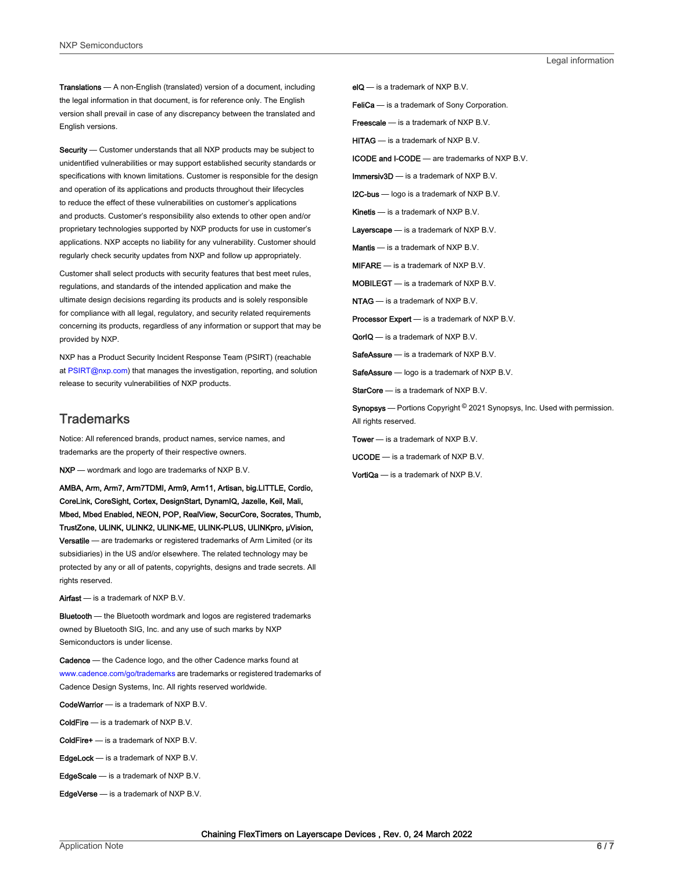Translations — A non-English (translated) version of a document, including the legal information in that document, is for reference only. The English version shall prevail in case of any discrepancy between the translated and English versions.

Security - Customer understands that all NXP products may be subject to unidentified vulnerabilities or may support established security standards or specifications with known limitations. Customer is responsible for the design and operation of its applications and products throughout their lifecycles to reduce the effect of these vulnerabilities on customer's applications and products. Customer's responsibility also extends to other open and/or proprietary technologies supported by NXP products for use in customer's applications. NXP accepts no liability for any vulnerability. Customer should regularly check security updates from NXP and follow up appropriately.

Customer shall select products with security features that best meet rules, regulations, and standards of the intended application and make the ultimate design decisions regarding its products and is solely responsible for compliance with all legal, regulatory, and security related requirements concerning its products, regardless of any information or support that may be provided by NXP.

NXP has a Product Security Incident Response Team (PSIRT) (reachable at [PSIRT@nxp.com\)](mailto:PSIRT@nxp.com) that manages the investigation, reporting, and solution release to security vulnerabilities of NXP products.

#### **Trademarks**

Notice: All referenced brands, product names, service names, and trademarks are the property of their respective owners.

NXP — wordmark and logo are trademarks of NXP B.V.

AMBA, Arm, Arm7, Arm7TDMI, Arm9, Arm11, Artisan, big.LITTLE, Cordio, CoreLink, CoreSight, Cortex, DesignStart, DynamIQ, Jazelle, Keil, Mali, Mbed, Mbed Enabled, NEON, POP, RealView, SecurCore, Socrates, Thumb, TrustZone, ULINK, ULINK2, ULINK-ME, ULINK-PLUS, ULINKpro, μVision, Versatile — are trademarks or registered trademarks of Arm Limited (or its subsidiaries) in the US and/or elsewhere. The related technology may be protected by any or all of patents, copyrights, designs and trade secrets. All rights reserved.

Airfast — is a trademark of NXP B.V.

**Bluetooth** — the Bluetooth wordmark and logos are registered trademarks owned by Bluetooth SIG, Inc. and any use of such marks by NXP Semiconductors is under license.

Cadence — the Cadence logo, and the other Cadence marks found at [www.cadence.com/go/trademarks](http://www.cadence.com/go/trademarks) are trademarks or registered trademarks of Cadence Design Systems, Inc. All rights reserved worldwide.

CodeWarrior — is a trademark of NXP B.V.

- ColdFire is a trademark of NXP B.V.
- ColdFire+ is a trademark of NXP B.V.
- EdgeLock is a trademark of NXP B.V.
- EdgeScale is a trademark of NXP B.V.
- EdgeVerse is a trademark of NXP B.V.

elQ - is a trademark of NXP B.V.

FeliCa - is a trademark of Sony Corporation.

**Freescale** — is a trademark of NXP B.V.

HITAG — is a trademark of NXP B.V.

ICODE and I-CODE — are trademarks of NXP B.V.

Immersiv3D — is a trademark of NXP B.V.

**I2C-bus** — logo is a trademark of NXP B.V.

Kinetis - is a trademark of NXP B.V.

Layerscape - is a trademark of NXP B.V.

Mantis - is a trademark of NXP B.V.

MIFARE — is a trademark of NXP B.V.

MOBILEGT — is a trademark of NXP B.V.

NTAG — is a trademark of NXP B.V.

Processor Expert - is a trademark of NXP B.V.

QorIQ - is a trademark of NXP B.V.

SafeAssure — is a trademark of NXP B.V.

SafeAssure - logo is a trademark of NXP B.V.

StarCore - is a trademark of NXP B.V.

Synopsys - Portions Copyright <sup>©</sup> 2021 Synopsys, Inc. Used with permission. All rights reserved.

Tower — is a trademark of NXP B.V.

UCODE — is a trademark of NXP B.V.

VortiQa — is a trademark of NXP B.V.